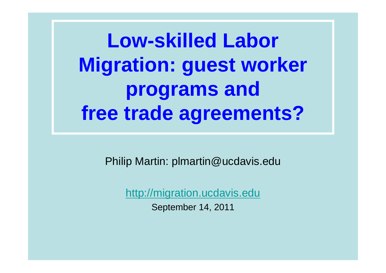**Low-skilled Labor Migration: guest worker programs and free trade agreements?** 

Philip Martin: plmartin@ucdavis.edu

http://migration.ucdavis.edu September 14, 2011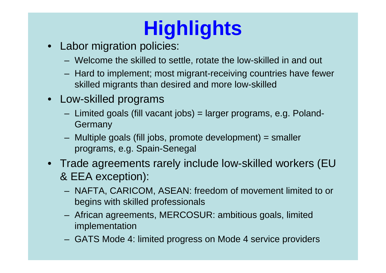# **Highlights**

- Labor migration policies:
	- Welcome the skilled to settle, rotate the low-skilled in and out
	- Hard to implement; most migrant-receiving countries have fewer skilled migrants than desired and more low-skilled
- Low-skilled programs
	- Limited goals (fill vacant jobs) = larger programs, e.g. Poland-Germany
	- Multiple goals (fill jobs, promote development) = smaller programs, e.g. Spain-Senegal
- Trade agreements rarely include low-skilled workers (EU & EEA exception):
	- NAFTA, CARICOM, ASEAN: freedom of movement limited to or begins with skilled professionals
	- African agreements, MERCOSUR: ambitious goals, limited implementation
	- GATS Mode 4: limited progress on Mode 4 service providers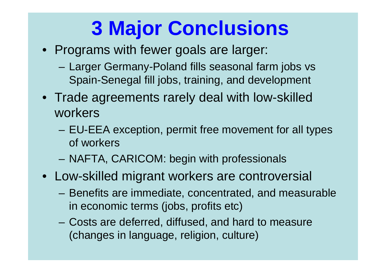# **3 Major Conclusions**

- Programs with fewer goals are larger:
	- Larger Germany-Poland fills seasonal farm jobs vs Spain-Senegal fill jobs, training, and development
- Trade agreements rarely deal with low-skilled workers
	- EU-EEA exception, permit free movement for all types of workers
	- NAFTA, CARICOM: begin with professionals
- Low-skilled migrant workers are controversial
	- Benefits are immediate, concentrated, and measurable in economic terms (jobs, profits etc)
	- Costs are deferred, diffused, and hard to measure (changes in language, religion, culture)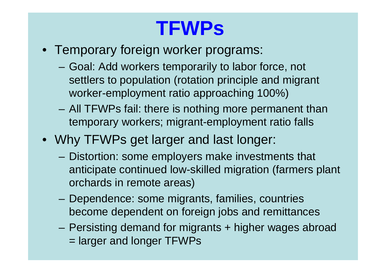## **TFWPs**

- Temporary foreign worker programs:
	- Goal: Add workers temporarily to labor force, not settlers to population (rotation principle and migrant worker-employment ratio approaching 100%)
	- – All TFWPs fail: there is nothing more permanent than temporary workers; migrant-employment ratio falls
- Why TFWPs get larger and last longer:
	- – Distortion: some employers make investments that anticipate continued low-skilled migration (farmers plant orchards in remote areas)
	- Dependence: some migrants, families, countries become dependent on foreign jobs and remittances
	- –Persisting demand for migrants + higher wages abroad = larger and longer TFWPs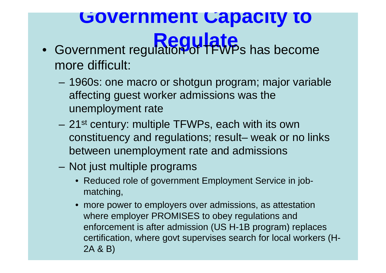#### **Government Capacity to Example 12 Regulate**

- Government regulation of TFWPs has become more difficult:
	- 1960s: one macro or shotgun program; major variable affecting guest worker admissions was the unemployment rate
	- 21<sup>st</sup> century: multiple TFWPs, each with its own constituency and regulations; result– weak or no links between unemployment rate and admissions
	- Not just multiple programs
		- Reduced role of government Employment Service in jobmatching,
		- • more power to employers over admissions, as attestation where employer PROMISES to obey regulations and enforcement is after admission (US H-1B program) replaces certification, where govt supervises search for local workers (H-2A & B)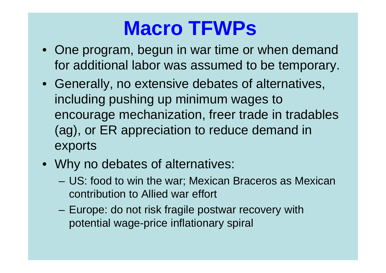#### **Macro TFWPs**

- One program, begun in war time or when demand for additional labor was assumed to be temporary.
- Generally, no extensive debates of alternatives, including pushing up minimum wages to encourage mechanization, freer trade in tradables (ag), or ER appreciation to reduce demand in exports
- Why no debates of alternatives:
	- – US: food to win the war; Mexican Braceros as Mexican contribution to Allied war effort
	- Europe: do not risk fragile postwar recovery with potential wage-price inflationary spiral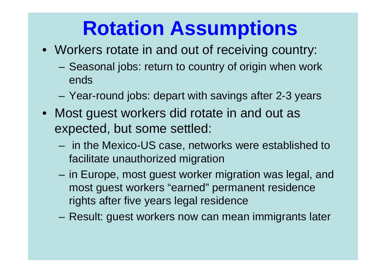#### **Rotation Assumptions**

- Workers rotate in and out of receiving country:
	- Seasonal jobs: return to country of origin when work ends
	- Year-round jobs: depart with savings after 2-3 years
- Most guest workers did rotate in and out as expected, but some settled:
	- in the Mexico-US case, networks were established to facilitate unauthorized migration
	- in Europe, most guest worker migration was legal, and most guest workers "earned" permanent residence rights after five years legal residence
	- –Result: guest workers now can mean immigrants later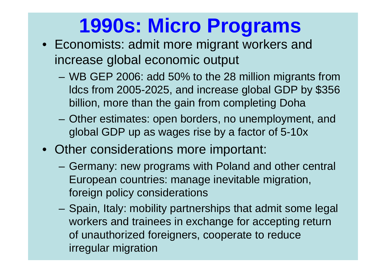# **1990s: Micro Programs**

- Economists: admit more migrant workers and increase global economic output
	- WB GEP 2006: add 50% to the 28 million migrants from ldcs from 2005-2025, and increase global GDP by \$356 billion, more than the gain from completing Doha
	- – Other estimates: open borders, no unemployment, and global GDP up as wages rise by a factor of 5-10x
- Other considerations more important:
	- – Germany: new programs with Poland and other central European countries: manage inevitable migration, foreign policy considerations
	- Spain, Italy: mobility partnerships that admit some legal workers and trainees in exchange for accepting return of unauthorized foreigners, cooperate to reduce irregular migration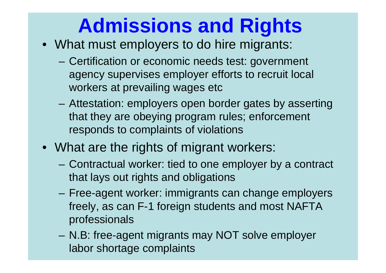# **Admissions and Rights**

- What must employers to do hire migrants:
	- Certification or economic needs test: government agency supervises employer efforts to recruit local workers at prevailing wages etc
	- – Attestation: employers open border gates by asserting that they are obeying program rules; enforcement responds to complaints of violations
- What are the rights of migrant workers:
	- Contractual worker: tied to one employer by a contract that lays out rights and obligations
	- Free-agent worker: immigrants can change employers freely, as can F-1 foreign students and most NAFTA professionals
	- N.B: free-agent migrants may NOT solve employer labor shortage complaints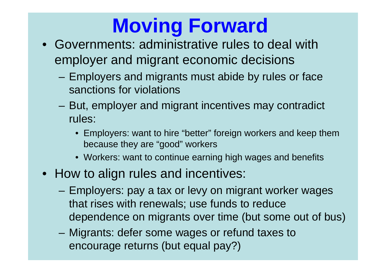# **Moving Forward**

- Governments: administrative rules to deal with employer and migrant economic decisions
	- Employers and migrants must abide by rules or face sanctions for violations
	- But, employer and migrant incentives may contradict rules:
		- Employers: want to hire "better" foreign workers and keep them because they are "good" workers
		- Workers: want to continue earning high wages and benefits
- How to align rules and incentives:
	- – Employers: pay a tax or levy on migrant worker wages that rises with renewals; use funds to reduce dependence on migrants over time (but some out of bus)
	- Migrants: defer some wages or refund taxes to encourage returns (but equal pay?)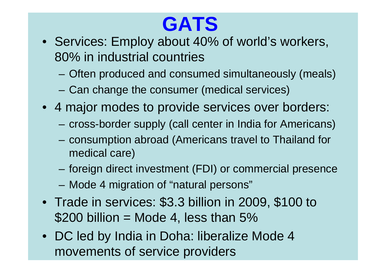# **GATS**

- Services: Employ about 40% of world's workers, 80% in industrial countries
	- Often produced and consumed simultaneously (meals)
	- Can change the consumer (medical services)
- 4 major modes to provide services over borders:
	- –cross-border supply (call center in India for Americans)
	- – consumption abroad (Americans travel to Thailand for medical care)
	- –foreign direct investment (FDI) or commercial presence
	- –Mode 4 migration of "natural persons"
- Trade in services: \$3.3 billion in 2009, \$100 to  $$200$  billion = Mode 4, less than 5%
- DC led by India in Doha: liberalize Mode 4 movements of service providers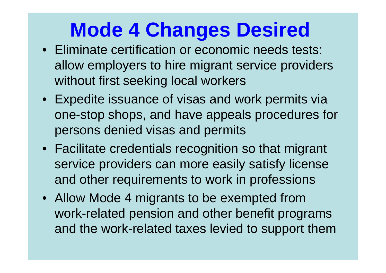### **Mode 4 Changes Desired**

- Eliminate certification or economic needs tests: allow employers to hire migrant service providers without first seeking local workers
- Expedite issuance of visas and work permits via one-stop shops, and have appeals procedures for persons denied visas and permits
- Facilitate credentials recognition so that migrant service providers can more easily satisfy license and other requirements to work in professions
- Allow Mode 4 migrants to be exempted from work-related pension and other benefit programs and the work-related taxes levied to support them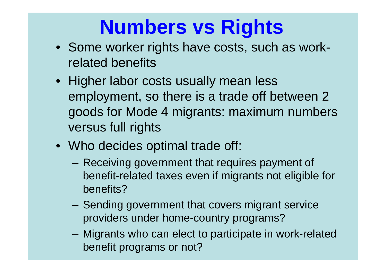# **Numbers vs Rights**

- Some worker rights have costs, such as workrelated benefits
- Higher labor costs usually mean less employment, so there is a trade off between 2 goods for Mode 4 migrants: maximum numbers versus full rights
- Who decides optimal trade off:
	- Receiving government that requires payment of benefit-related taxes even if migrants not eligible for benefits?
	- Sending government that covers migrant service providers under home-country programs?
	- – Migrants who can elect to participate in work-related benefit programs or not?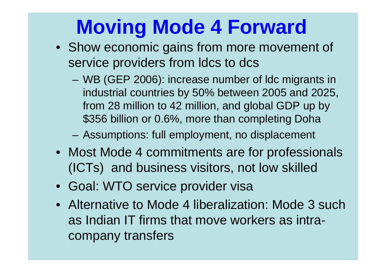# **Moving Mode 4 Forward**

- Show economic gains from more movement of service providers from Idcs to dcs
	- WB (GEP 2006): increase number of ldc migrants in industrial countries by 50% between 2005 and 2025, from 28 million to 42 million, and global GDP up by \$356 billion or 0.6%, more than completing Doha

–Assumptions: full employment, no displacement

- Most Mode 4 commitments are for professionals (ICTs) and business visitors, not low skilled
- Goal: WTO service provider visa
- Alternative to Mode 4 liberalization: Mode 3 such as Indian IT firms that move workers as intracompany transfers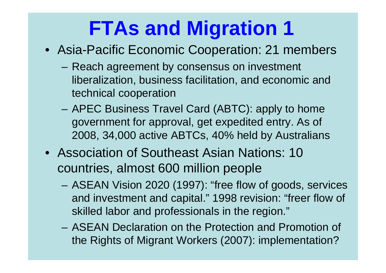### **FTAs and Migration 1**

- Asia-Pacific Economic Cooperation: 21 members
	- Reach agreement by consensus on investment liberalization, business facilitation, and economic and technical cooperation
	- – APEC Business Travel Card (ABTC): apply to home government for approval, get expedited entry. As of 2008, 34,000 active ABTCs, 40% held by Australians
- Association of Southeast Asian Nations: 10 countries, almost 600 million people
	- – ASEAN Vision 2020 (1997): "free flow of goods, services and investment and capital." 1998 revision: "freer flow of skilled labor and professionals in the region."
	- ASEAN Declaration on the Protection and Promotion of the Rights of Migrant Workers (2007): implementation?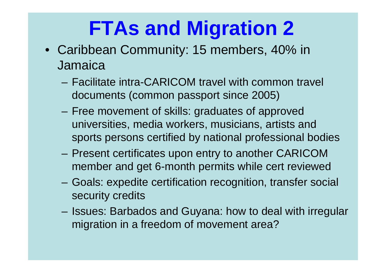### **FTAs and Migration 2**

- Caribbean Community: 15 members, 40% in **Jamaica** 
	- Facilitate intra-CARICOM travel with common travel documents (common passport since 2005)
	- Free movement of skills: graduates of approved universities, media workers, musicians, artists and sports persons certified by national professional bodies
	- – Present certificates upon entry to another CARICOM member and get 6-month permits while cert reviewed
	- Goals: expedite certification recognition, transfer social security credits
	- Issues: Barbados and Guyana: how to deal with irregular migration in a freedom of movement area?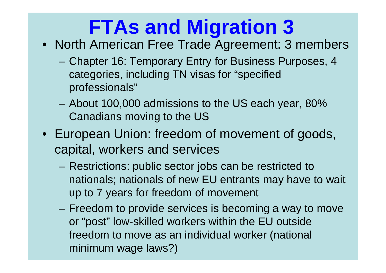# **FTAs and Migration 3**

- North American Free Trade Agreement: 3 members
	- Chapter 16: Temporary Entry for Business Purposes, 4 categories, including TN visas for "specified professionals"
	- – About 100,000 admissions to the US each year, 80% Canadians moving to the US
- European Union: freedom of movement of goods, capital, workers and services
	- – Restrictions: public sector jobs can be restricted to nationals; nationals of new EU entrants may have to wait up to 7 years for freedom of movement
	- Freedom to provide services is becoming a way to move or "post" low-skilled workers within the EU outside freedom to move as an individual worker (national minimum wage laws?)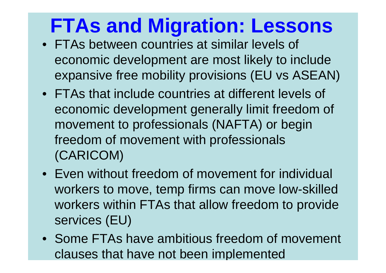## **FTAs and Migration: Lessons**

- FTAs between countries at similar levels of economic development are most likely to include expansive free mobility provisions (EU vs ASEAN)
- FTAs that include countries at different levels of economic development generally limit freedom of movement to professionals (NAFTA) or begin freedom of movement with professionals (CARICOM)
- Even without freedom of movement for individual workers to move, temp firms can move low-skilled workers within FTAs that allow freedom to provide services (EU)
- Some FTAs have ambitious freedom of movement clauses that have not been im plemented